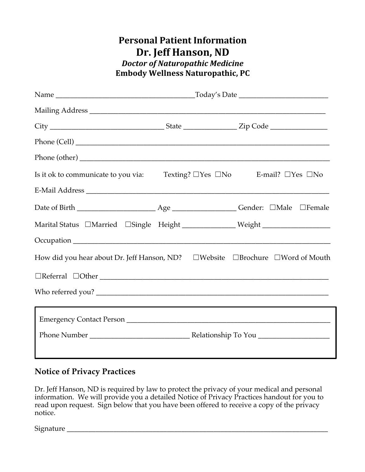## **Personal Patient Information** Dr. Jeff Hanson, ND *Doctor of Naturopathic Medicine* **Embody Wellness Naturopathic, PC**

| Is it ok to communicate to you via:                                              |  | Texting? □Yes □No H-mail? □Yes □No |  |  |  |
|----------------------------------------------------------------------------------|--|------------------------------------|--|--|--|
|                                                                                  |  |                                    |  |  |  |
|                                                                                  |  |                                    |  |  |  |
| Marital Status □Married □Single Height _______________Weight ___________________ |  |                                    |  |  |  |
|                                                                                  |  |                                    |  |  |  |
| How did you hear about Dr. Jeff Hanson, ND?  □Website  □Brochure  □Word of Mouth |  |                                    |  |  |  |
|                                                                                  |  |                                    |  |  |  |
|                                                                                  |  |                                    |  |  |  |
|                                                                                  |  |                                    |  |  |  |
|                                                                                  |  |                                    |  |  |  |
|                                                                                  |  |                                    |  |  |  |
|                                                                                  |  |                                    |  |  |  |

## **Notice of Privacy Practices**

Dr. Jeff Hanson, ND is required by law to protect the privacy of your medical and personal information. We will provide you a detailed Notice of Privacy Practices handout for you to read upon request. Sign below that you have been offered to receive a copy of the privacy notice.

Signature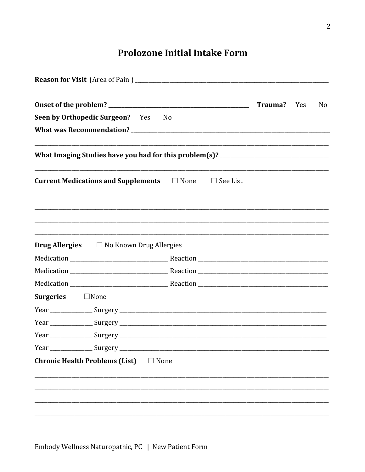## **Prolozone Initial Intake Form**

|                                                                                   | <b>Trauma?</b> Yes | No |
|-----------------------------------------------------------------------------------|--------------------|----|
| Seen by Orthopedic Surgeon? Yes<br>N <sub>o</sub>                                 |                    |    |
|                                                                                   |                    |    |
| What Imaging Studies have you had for this problem(s)? __________________________ |                    |    |
| <b>Current Medications and Supplements</b> $\Box$ None<br>$\Box$ See List         |                    |    |
|                                                                                   |                    |    |
|                                                                                   |                    |    |
| <b>Drug Allergies</b> $\Box$ No Known Drug Allergies                              |                    |    |
|                                                                                   |                    |    |
|                                                                                   |                    |    |
|                                                                                   |                    |    |
| <b>Surgeries</b><br>$\Box$ None                                                   |                    |    |
|                                                                                   |                    |    |
|                                                                                   |                    |    |
|                                                                                   |                    |    |
|                                                                                   |                    |    |
| <b>Chronic Health Problems (List)</b><br>$\Box$ None                              |                    |    |
|                                                                                   |                    |    |
|                                                                                   |                    |    |
|                                                                                   |                    |    |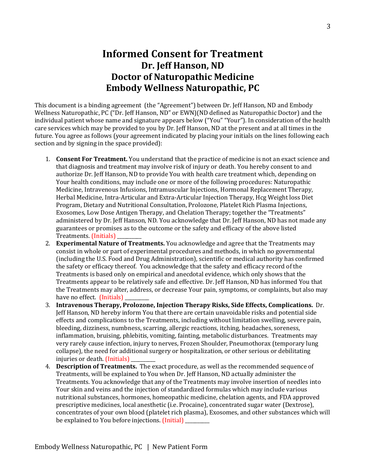## **Informed Consent for Treatment** Dr. Jeff Hanson, ND **Doctor of Naturopathic Medicine Embody Wellness Naturopathic, PC**

This document is a binding agreement (the "Agreement") between Dr. Jeff Hanson, ND and Embody Wellness Naturopathic, PC ("Dr. Jeff Hanson, ND" or EWN)(ND defined as Naturopathic Doctor) and the individual patient whose name and signature appears below ("You" "Your"). In consideration of the health care services which may be provided to you by Dr. Jeff Hanson, ND at the present and at all times in the future. You agree as follows (your agreement indicated by placing your initials on the lines following each section and by signing in the space provided):

- 1. **Consent For Treatment.** You understand that the practice of medicine is not an exact science and that diagnosis and treatment may involve risk of injury or death. You hereby consent to and authorize Dr. Jeff Hanson, ND to provide You with health care treatment which, depending on Your health conditions, may include one or more of the following procedures: Naturopathic Medicine, Intravenous Infusions, Intramuscular Injections, Hormonal Replacement Therapy, Herbal Medicine, Intra-Articular and Extra-Articular Injection Therapy, Hcg Weight loss Diet Program, Dietary and Nutritional Consultation, Prolozone, Platelet Rich Plasma Injections, Exosomes, Low Dose Antigen Therapy, and Chelation Therapy; together the "Treatments" administered by Dr. Jeff Hanson, ND. You acknowledge that Dr. Jeff Hanson, ND has not made any guarantees or promises as to the outcome or the safety and efficacy of the above listed Treatments. (Initials)
- 2. **Experimental Nature of Treatments.** You acknowledge and agree that the Treatments may consist in whole or part of experimental procedures and methods, in which no governmental (including the U.S. Food and Drug Administration), scientific or medical authority has confirmed the safety or efficacy thereof. You acknowledge that the safety and efficacy record of the Treatments is based only on empirical and anecdotal evidence, which only shows that the Treatments appear to be relatively safe and effective. Dr. Jeff Hanson, ND has informed You that the Treatments may alter, address, or decrease Your pain, symptoms, or complaints, but also may have no effect. (Initials)
- 3. Intravenous Therapy, Prolozone, Injection Therapy Risks, Side Effects, Complications. Dr. Jeff Hanson, ND hereby inform You that there are certain unavoidable risks and potential side effects and complications to the Treatments, including without limitation swelling, severe pain, bleeding, dizziness, numbness, scarring, allergic reactions, itching, headaches, soreness, inflammation, bruising, phlebitis, vomiting, fainting, metabolic disturbances. Treatments may very rarely cause infection, injury to nerves, Frozen Shoulder, Pneumothorax (temporary lung collapse), the need for additional surgery or hospitalization, or other serious or debilitating injuries or death. (Initials)
- 4. **Description of Treatments.** The exact procedure, as well as the recommended sequence of Treatments, will be explained to You when Dr. Jeff Hanson, ND actually administer the Treatments. You acknowledge that any of the Treatments may involve insertion of needles into Your skin and veins and the injection of standardized formulas which may include various nutritional substances, hormones, homeopathic medicine, chelation agents, and FDA approved prescriptive medicines, local anesthetic (i.e. Procaine), concentrated sugar water (Dextrose), concentrates of your own blood (platelet rich plasma), Exosomes, and other substances which will be explained to You before injections. (Initial)